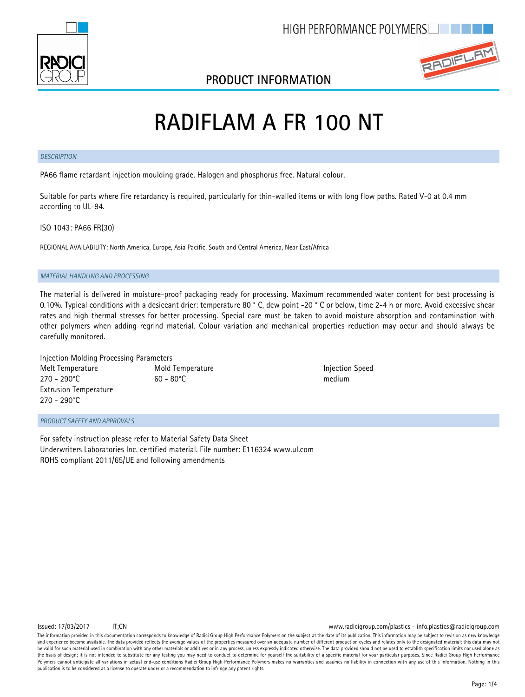

### **PRODUCT INFORMATION**



# **RADIFLAM A FR 100 NT**

#### *DESCRIPTION*

PA66 flame retardant injection moulding grade. Halogen and phosphorus free. Natural colour.

Suitable for parts where fire retardancy is required, particularly for thin-walled items or with long flow paths. Rated V-0 at 0.4 mm according to UL-94.

ISO 1043: PA66 FR(30)

REGIONAL AVAILABILITY: North America, Europe, Asia Pacific, South and Central America, Near East/Africa

#### *MATERIAL HANDLING AND PROCESSING*

The material is delivered in moisture-proof packaging ready for processing. Maximum recommended water content for best processing is 0.10%. Typical conditions with a desiccant drier: temperature 80 ° C, dew point -20 ° C or below, time 2-4 h or more. Avoid excessive shear rates and high thermal stresses for better processing. Special care must be taken to avoid moisture absorption and contamination with other polymers when adding regrind material. Colour variation and mechanical properties reduction may occur and should always be carefully monitored.

| Injection Molding Processing Parameters |                     |           |
|-----------------------------------------|---------------------|-----------|
| Melt Temperature                        | Mold Temperature    | Injection |
| $270 - 290^{\circ}$ C                   | $60 - 80^{\circ}$ C | medium    |
| <b>Extrusion Temperature</b>            |                     |           |
| $270 - 290^{\circ}$ C                   |                     |           |

**Injection Speed** 

*PRODUCT SAFETY AND APPROVALS*

For safety instruction please refer to Material Safety Data Sheet Underwriters Laboratories Inc. certified material. File number: E116324 www.ul.com ROHS compliant 2011/65/UE and following amendments

Issued: 17/03/2017 IT;CN www.radicigroup.com/plastics - info.plastics@radicigroup.com

The information provided in this documentation corresponds to knowledge of Radici Group High Performance Polymers on the subject at the date of its publication. This information may be subject to revision as new knowledge and experience become available. The data provided reflects the average values of the properties measured over an adequate number of different production cycles and relates only to the designated material; this data may no be valid for such material used in combination with any other materials or additives or in any process, unless expressly indicated otherwise. The data provided should not be used to establish specification limits nor used the basis of design; it is not intended to substitute for any testing you may need to conduct to determine for yourself the suitability of a specific material for your particular purposes. Since Radici Group High Performan Polymers cannot anticipate all variations in actual end-use conditions Radici Group High Performance Polymers makes no warranties and assumes no liability in connection with any use of this information. Nothing in this publication is to be considered as a license to operate under or a recommendation to infringe any patent rights.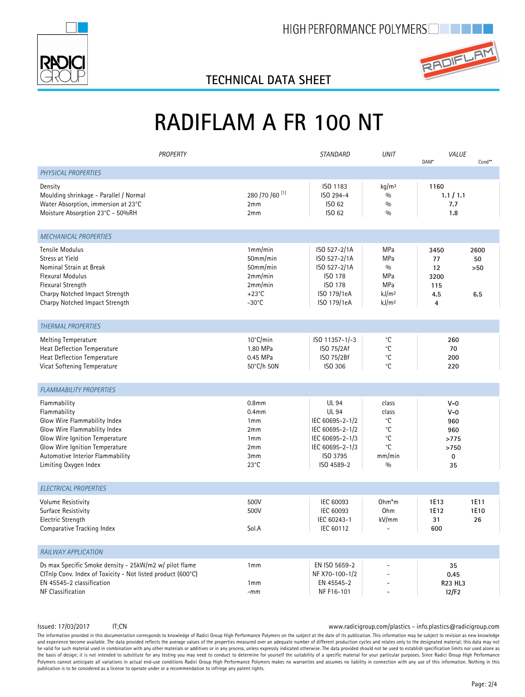



## **TECHNICAL DATA SHEET**

# **RADIFLAM A FR 100 NT**

|                                                                                                                                                                                                                               | PROPERTY |                                                                                             | STANDARD                                                                                                                           | <b>UNIT</b>                                                               | VALUE<br>DAM*                                                       | $Cond**$                 |
|-------------------------------------------------------------------------------------------------------------------------------------------------------------------------------------------------------------------------------|----------|---------------------------------------------------------------------------------------------|------------------------------------------------------------------------------------------------------------------------------------|---------------------------------------------------------------------------|---------------------------------------------------------------------|--------------------------|
| PHYSICAL PROPERTIES                                                                                                                                                                                                           |          |                                                                                             |                                                                                                                                    |                                                                           |                                                                     |                          |
| Density<br>Moulding shrinkage - Parallel / Normal<br>Water Absorption, immersion at 23°C<br>Moisture Absorption 23°C - 50%RH                                                                                                  |          | 280 / 70 / 60 <sup>[1]</sup><br>2mm<br>2mm                                                  | ISO 1183<br>ISO 294-4<br>ISO 62<br>ISO 62                                                                                          | kq/m <sup>3</sup><br>$\frac{0}{0}$<br>$\frac{0}{0}$<br>$\frac{0}{0}$      | 1160<br>1.1 / 1.1<br>7.7<br>1.8                                     |                          |
| <b>MECHANICAL PROPERTIES</b>                                                                                                                                                                                                  |          |                                                                                             |                                                                                                                                    |                                                                           |                                                                     |                          |
| Tensile Modulus<br>Stress at Yield<br>Nominal Strain at Break<br><b>Flexural Modulus</b><br>Flexural Strength<br>Charpy Notched Impact Strength<br>Charpy Notched Impact Strength                                             |          | 1mm/min<br>50mm/min<br>50mm/min<br>2mm/min<br>2mm/min<br>$+23^{\circ}$ C<br>$-30^{\circ}$ C | ISO 527-2/1A<br>ISO 527-2/1A<br>ISO 527-2/1A<br>ISO 178<br>ISO 178<br>ISO 179/1eA<br>ISO 179/1eA                                   | MPa<br>MPa<br>0/0<br>MPa<br>MPa<br>kJ/m <sup>2</sup><br>kJ/m <sup>2</sup> | 3450<br>77<br>12<br>3200<br>115<br>4.5<br>$\overline{4}$            | 2600<br>50<br>>50<br>6.5 |
| <b>THERMAL PROPERTIES</b>                                                                                                                                                                                                     |          |                                                                                             |                                                                                                                                    |                                                                           |                                                                     |                          |
| <b>Melting Temperature</b><br>Heat Deflection Temperature<br><b>Heat Deflection Temperature</b><br>Vicat Softening Temperature                                                                                                |          | 10°C/min<br>1.80 MPa<br>0.45 MPa<br>50°C/h 50N                                              | ISO 11357-1/-3<br>ISO 75/2Af<br>ISO 75/2Bf<br>ISO 306                                                                              | °C<br>۰c<br>°C<br>°C                                                      | 260<br>70<br>200<br>220                                             |                          |
| <b>FLAMMABILITY PROPERTIES</b>                                                                                                                                                                                                |          |                                                                                             |                                                                                                                                    |                                                                           |                                                                     |                          |
| Flammability<br>Flammability<br>Glow Wire Flammability Index<br>Glow Wire Flammability Index<br>Glow Wire Ignition Temperature<br>Glow Wire Ignition Temperature<br>Automotive Interior Flammability<br>Limiting Oxygen Index |          | 0.8 <sub>mm</sub><br>0.4 <sub>mm</sub><br>1mm<br>2mm<br>1mm<br>2mm<br>3mm<br>$23^{\circ}$ C | <b>UL 94</b><br><b>UL 94</b><br>IEC 60695-2-1/2<br>IEC 60695-2-1/2<br>IEC 60695-2-1/3<br>IEC 60695-2-1/3<br>ISO 3795<br>ISO 4589-2 | class<br>class<br>°C<br>۰C<br>۰C<br>°C<br>mm/min<br>$\frac{0}{0}$         | $V-0$<br>$V - 0$<br>960<br>960<br>>775<br>>750<br>$\mathbf 0$<br>35 |                          |
| <b>ELECTRICAL PROPERTIES</b>                                                                                                                                                                                                  |          |                                                                                             |                                                                                                                                    |                                                                           |                                                                     |                          |
| <b>Volume Resistivity</b><br>Surface Resistivity<br>Electric Strength<br>Comparative Tracking Index                                                                                                                           |          | 500V<br>500V<br>Sol.A                                                                       | IEC 60093<br>IEC 60093<br>IEC 60243-1<br>IEC 60112                                                                                 | 0hm*m<br>Ohm<br>kV/mm                                                     | 1E13<br>1E12<br>31<br>600                                           | 1E11<br>1E10<br>26       |
| RAILWAY APPLICATION                                                                                                                                                                                                           |          |                                                                                             |                                                                                                                                    |                                                                           |                                                                     |                          |
| Ds max Specific Smoke density - 25kW/m2 w/ pilot flame<br>CITnlp Conv. Index of Toxicity - Not listed product (600°C)<br>EN 45545-2 classification<br>NF Classification                                                       |          | 1mm<br>1mm<br>$-mm$                                                                         | EN ISO 5659-2<br>NF X70-100-1/2<br>EN 45545-2<br>NF F16-101                                                                        | ÷.                                                                        | 35<br>0.45<br><b>R23 HL3</b><br>12/F2                               |                          |

Issued: 17/03/2017 IT;CN www.radicigroup.com/plastics - info.plastics@radicigroup.com

The information provided in this documentation corresponds to knowledge of Radici Group High Performance Polymers on the subject at the date of its publication. This information may be subject to revision as new knowledge and experience become available. The data provided reflects the average values of the properties measured over an adequate number of different production cycles and relates only to the designated material; this data may no be valid for such material used in combination with any other materials or additives or in any process, unless expressly indicated otherwise. The data provided should not be used to establish specification limits nor used the basis of design; it is not intended to substitute for any testing you may need to conduct to determine for yourself the suitability of a specific material for your particular purposes. Since Radici Group High Performance Polymers cannot anticipate all variations in actual end-use conditions Radici Group High Performance Polymers makes no warranties and assumes no liability in connection with any use of this information. Nothing in this publication is to be considered as a license to operate under or a recommendation to infringe any patent rights.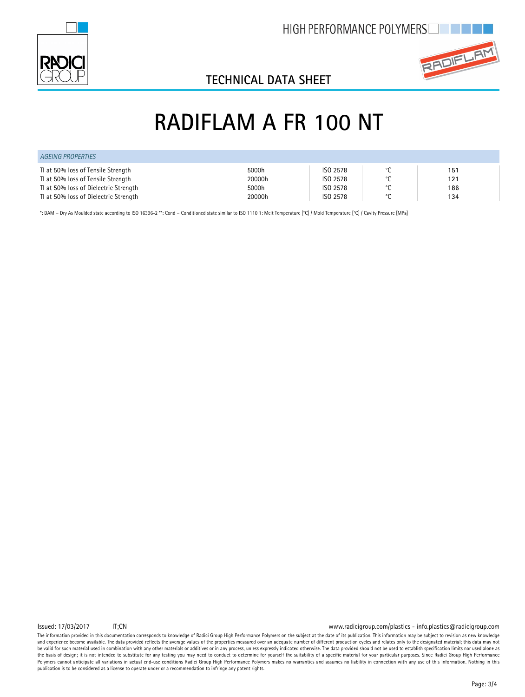



## **TECHNICAL DATA SHEET**

## **RADIFLAM A FR 100 NT**

| AGEING PROPERTIES                     |        |          |                |     |  |
|---------------------------------------|--------|----------|----------------|-----|--|
| TI at 50% loss of Tensile Strength    | 5000h  | ISO 2578 | $\circ$        | 151 |  |
| TI at 50% loss of Tensile Strength    | 20000h | ISO 2578 | $\circ$        | 121 |  |
| TI at 50% loss of Dielectric Strength | 5000h  | ISO 2578 | $\circ$ $\sim$ | 186 |  |
| TI at 50% loss of Dielectric Strength | 20000h | ISO 2578 | $\circ$        | 134 |  |

\*: DAM = Dry As Moulded state according to ISO 16396-2 \*\*: Cond = Conditioned state similar to ISO 1110 1: Melt Temperature [°C] / Mold Temperature [°C] / Cavity Pressure [MPa]

Issued: 17/03/2017 IT;CN www.radicigroup.com/plastics - info.plastics@radicigroup.com

The information provided in this documentation corresponds to knowledge of Radici Group High Performance Polymers on the subject at the date of its publication. This information may be subject to revision as new knowledge and experience become available. The data provided reflects the average values of the properties measured over an adequate number of different production cycles and relates only to the designated material; this data may no be valid for such material used in combination with any other materials or additives or in any process, unless expressly indicated otherwise. The data provided should not be used to establish specification limits nor used the basis of design; it is not intended to substitute for any testing you may need to conduct to determine for yourself the suitability of a specific material for your particular purposes. Since Radici Group High Performance Polymers cannot anticipate all variations in actual end-use conditions Radici Group High Performance Polymers makes no warranties and assumes no liability in connection with any use of this information. Nothing in this publication is to be considered as a license to operate under or a recommendation to infringe any patent rights.